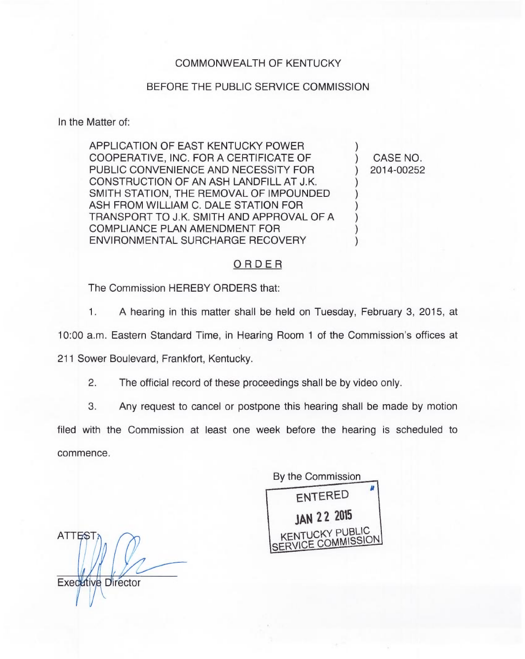## COMMONWEALTH OF KENTUCKY

## BEFORE THE PUBLIC SERVICE COMMISSION

In the Matter of:

APPLICATION OF EAST KENTUCKY POWER COOPERATIVE, INC. FOR A CERTIFICATE OF PUBLIC CONVENIENCE AND NECESSITY FOR CONSTRUCTION OF AN ASH LANDFILL AT J.K. SMITH STATION, THE REMOVAL OF IMPOUNDED ASH FROM WILLIAM C. DALE STATION FOR TRANSPORT TO J.K. SMITH AND APPROVAL OF A COMPLIANCE PLAN AMENDMENT FOR ENVIRONMENTAL SURCHARGE RECOVERY

) CASE NO. ) 2014-00252

)

) ) ) ) ) )

## ORDER

The Commission HEREBY ORDERS that:

1. <sup>A</sup> hearing in this matter shall be held on Tuesday, February 3, 2015, at

10:00 a.m. Eastern Standard Time, in Hearing Room <sup>1</sup> of the Commission's offices at

211 Sower Boulevard, Frankfort, Kentucky.

2. The official record of these proceedings shall be by video only.

3. Any request to cancel or postpone this hearing shall be made by motion

filed with the Commission at least one week before the hearing is scheduled to commence.

By the Commission ENTERED )AH 22 <sup>2015</sup> KENTUCKY PUBLIC SERVICE COMMISSION

**ATTEST Executive Director**